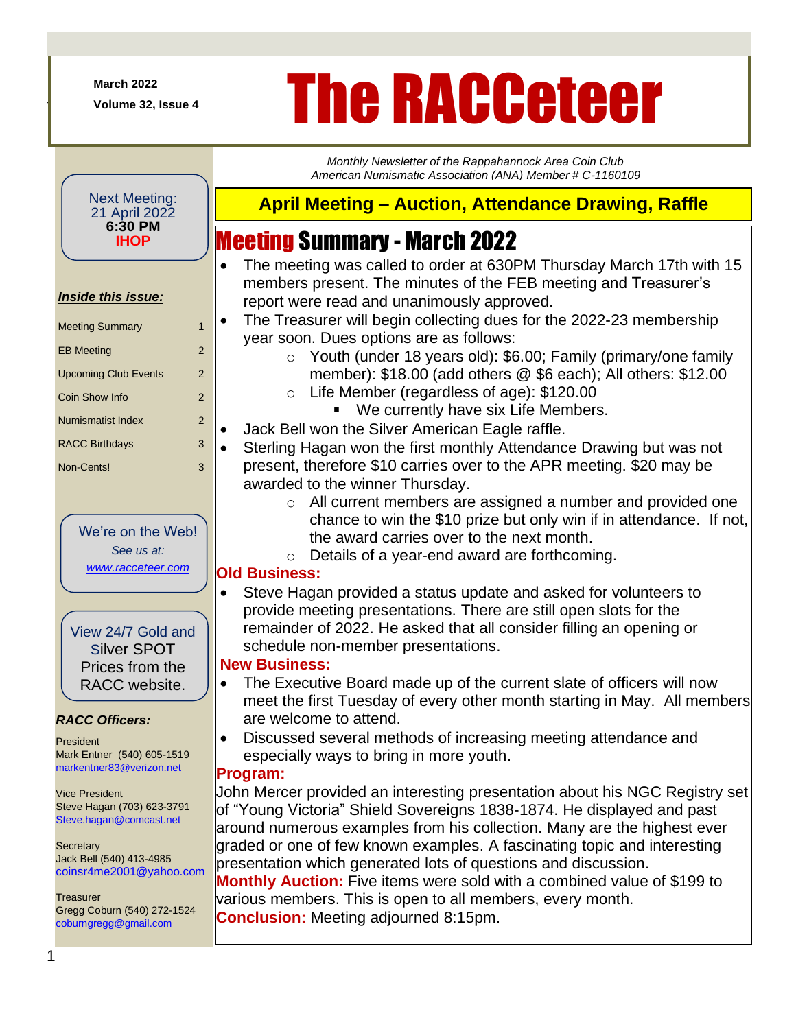**March 2022**

+

# March 2022<br>Volume 32, Issue 4<br>**The RACCeteCer**

*Monthly Newsletter of the Rappahannock Area Coin Club American Numismatic Association (ANA) Member # C-1160109*

#### Next Meeting: 21 April 2022 **6:30 PM IHOP**

#### *Inside this issue:*

| <b>Meeting Summary</b>      | 1 |
|-----------------------------|---|
| <b>EB Meeting</b>           | 2 |
| <b>Upcoming Club Events</b> | 2 |
| Coin Show Info              | 2 |
| <b>Numismatist Index</b>    | 2 |
| <b>RACC Birthdays</b>       | 3 |
| Non-Cents!                  | 3 |

We're on the Web! *See us at: [www.racceteer.com](http://www.racceteer.com/)*

View 24/7 Gold and Silver SPOT Prices from the RACC website.

#### *RACC Officers:*

President Mark Entner (540) 605-1519 markentner83@verizon.net

Vice President Steve Hagan (703) 623-3791 Steve.hagan@comcast.net

**Secretary** Jack Bell (540) 413-4985 coinsr4me2001@yahoo.com

**Treasurer** Gregg Coburn (540) 272-1524 coburngregg@gmail.com

### **April Meeting – Auction, Attendance Drawing, Raffle**

## Meeting Summary - March 2022

- The meeting was called to order at 630PM Thursday March 17th with 15 members present. The minutes of the FEB meeting and Treasurer's report were read and unanimously approved.
- The Treasurer will begin collecting dues for the 2022-23 membership year soon. Dues options are as follows:
	- o Youth (under 18 years old): \$6.00; Family (primary/one family member): \$18.00 (add others @ \$6 each); All others: \$12.00
	- o Life Member (regardless of age): \$120.00
		- We currently have six Life Members.
- Jack Bell won the Silver American Eagle raffle.
- Sterling Hagan won the first monthly Attendance Drawing but was not present, therefore \$10 carries over to the APR meeting. \$20 may be awarded to the winner Thursday.
	- o All current members are assigned a number and provided one chance to win the \$10 prize but only win if in attendance. If not, the award carries over to the next month.
	- o Details of a year-end award are forthcoming.

#### **Old Business:**

• Steve Hagan provided a status update and asked for volunteers to provide meeting presentations. There are still open slots for the remainder of 2022. He asked that all consider filling an opening or schedule non-member presentations.

#### **New Business:**

- The Executive Board made up of the current slate of officers will now meet the first Tuesday of every other month starting in May. All members are welcome to attend.
- Discussed several methods of increasing meeting attendance and especially ways to bring in more youth.

#### **Program:**

John Mercer provided an interesting presentation about his NGC Registry set of "Young Victoria" Shield Sovereigns 1838-1874. He displayed and past around numerous examples from his collection. Many are the highest ever graded or one of few known examples. A fascinating topic and interesting presentation which generated lots of questions and discussion. **Monthly Auction:** Five items were sold with a combined value of \$199 to

various members. This is open to all members, every month. **Conclusion:** Meeting adjourned 8:15pm.